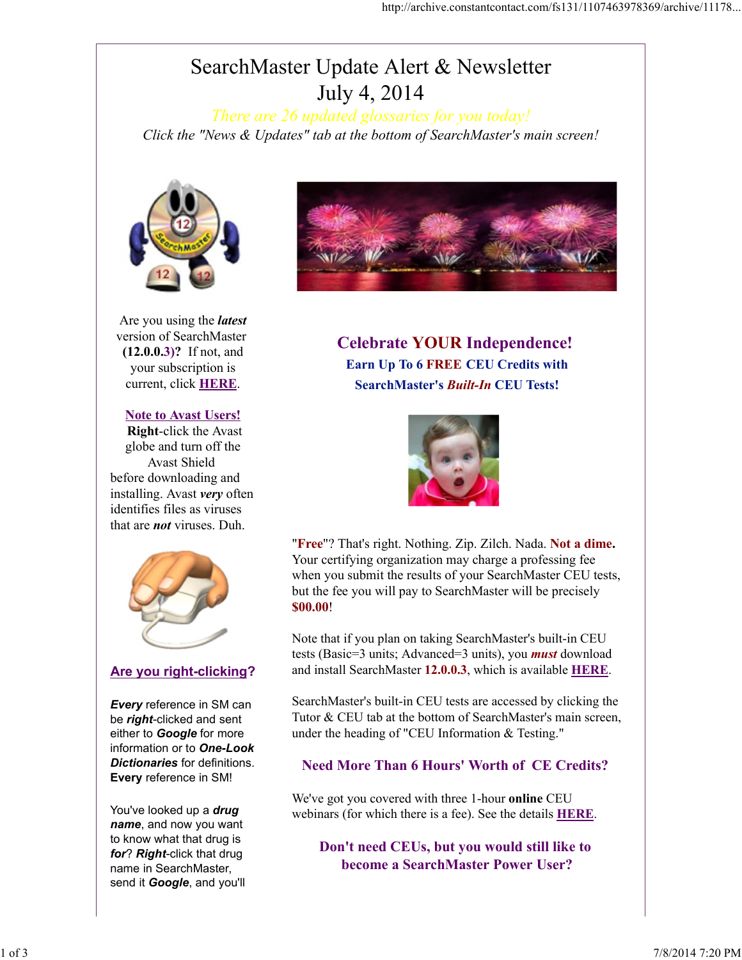# SearchMaster Update Alert & Newsletter July 4, 2014

*There are 26 updated glossaries for you today! Click the "News & Updates" tab at the bottom of SearchMaster's main screen!*



Are you using the *latest* version of SearchMaster (12.0.0.3)? If not, and your subscription is current, click HERE.

#### Note to Avast Users!

Right-click the Avast globe and turn off the Avast Shield before downloading and installing. Avast *very* often identifies files as viruses that are *not* viruses. Duh.



#### Are you right-clicking?

*Every* reference in SM can be *right*-clicked and sent either to *Google* for more information or to *One-Look Dictionaries* for definitions. Every reference in SM!

You've looked up a *drug name*, and now you want to know what that drug is *for*? *Right*-click that drug name in SearchMaster, send it *Google*, and you'll



## Celebrate YOUR Independence! Earn Up To 6 FREE CEU Credits with SearchMaster's *Built-In* CEU Tests!



"Free"? That's right. Nothing. Zip. Zilch. Nada. Not a dime. Your certifying organization may charge a professing fee when you submit the results of your SearchMaster CEU tests, but the fee you will pay to SearchMaster will be precisely \$00.00!

Note that if you plan on taking SearchMaster's built-in CEU tests (Basic=3 units; Advanced=3 units), you *must* download and install SearchMaster 12.0.0.3, which is available **HERE**.

SearchMaster's built-in CEU tests are accessed by clicking the Tutor & CEU tab at the bottom of SearchMaster's main screen, under the heading of "CEU Information & Testing."

#### Need More Than 6 Hours' Worth of CE Credits?

We've got you covered with three 1-hour online CEU webinars (for which there is a fee). See the details HERE.

Don't need CEUs, but you would still like to become a SearchMaster Power User?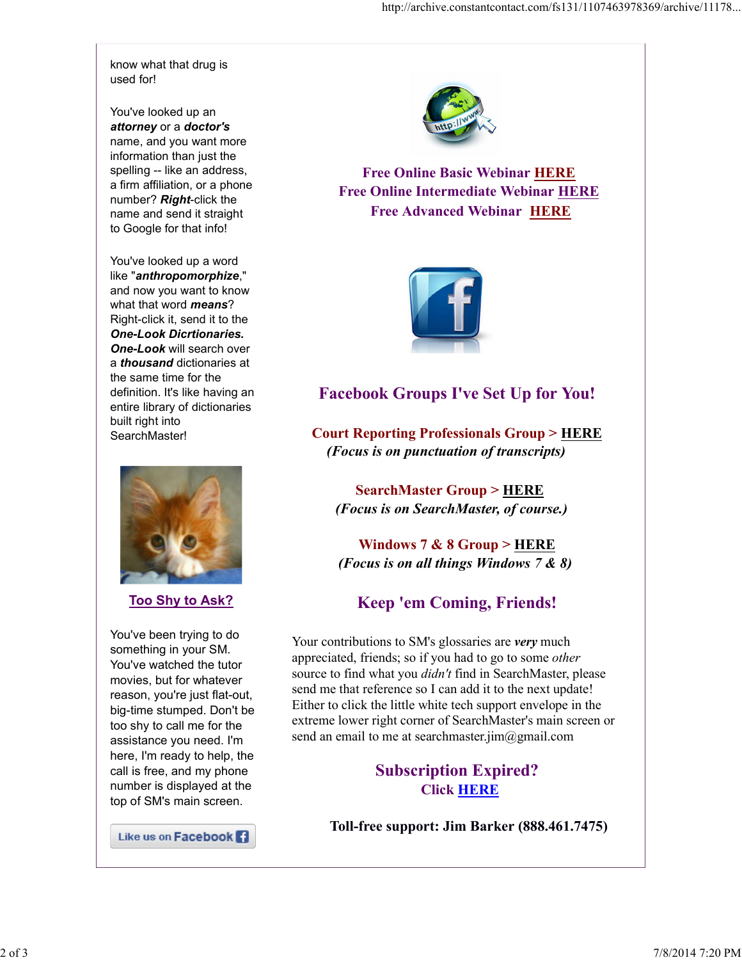know what that drug is used for!

You've looked up an *attorney* or a *doctor's* name, and you want more information than just the spelling -- like an address, a firm affiliation, or a phone number? *Right*-click the name and send it straight to Google for that info!

You've looked up a word like "*anthropomorphize*," and now you want to know what that word *means*? Right-click it, send it to the *One-Look Dicrtionaries. One-Look* will search over a *thousand* dictionaries at the same time for the definition. It's like having an entire library of dictionaries built right into SearchMaster!



Too Shy to Ask?

You've been trying to do something in your SM. You've watched the tutor movies, but for whatever reason, you're just flat-out, big-time stumped. Don't be too shy to call me for the assistance you need. I'm here, I'm ready to help, the call is free, and my phone number is displayed at the top of SM's main screen.

Like us on Facebook



Free Online Basic Webinar HERE Free Online Intermediate Webinar HERE Free Advanced Webinar HERE



### Facebook Groups I've Set Up for You!

Court Reporting Professionals Group > HERE *(Focus is on punctuation of transcripts)*

SearchMaster Group > HERE *(Focus is on SearchMaster, of course.)*

Windows 7 & 8 Group > HERE *(Focus is on all things Windows 7 & 8)* 

### Keep 'em Coming, Friends!

Your contributions to SM's glossaries are *very* much appreciated, friends; so if you had to go to some *other* source to find what you *didn't* find in SearchMaster, please send me that reference so I can add it to the next update! Either to click the little white tech support envelope in the extreme lower right corner of SearchMaster's main screen or send an email to me at searchmaster.jim@gmail.com

### Subscription Expired? Click HERE

Toll-free support: Jim Barker (888.461.7475)